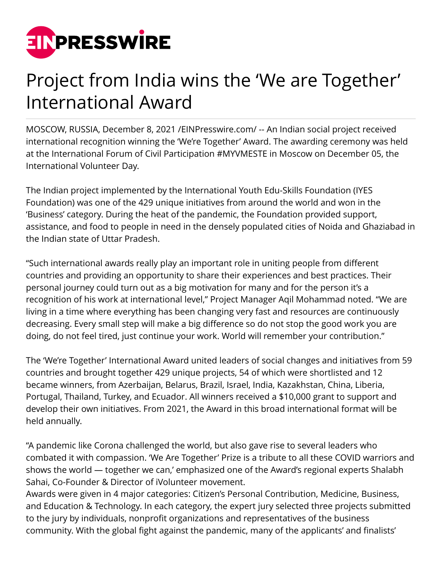

## Project from India wins the 'We are Together' International Award

MOSCOW, RUSSIA, December 8, 2021 [/EINPresswire.com](http://www.einpresswire.com)/ -- An Indian social project received international recognition winning the 'We're Together' Award. The awarding ceremony was held at the International Forum of Civil Participation #MYVMESTE in Moscow on December 05, the International Volunteer Day.

The Indian project implemented by the International Youth Edu-Skills Foundation (IYES Foundation) was one of the 429 unique initiatives from around the world and won in the 'Business' category. During the heat of the pandemic, the Foundation provided support, assistance, and food to people in need in the densely populated cities of Noida and Ghaziabad in the Indian state of Uttar Pradesh.

"Such international awards really play an important role in uniting people from different countries and providing an opportunity to share their experiences and best practices. Their personal journey could turn out as a big motivation for many and for the person it's a recognition of his work at international level," Project Manager Aqil Mohammad noted. "We are living in a time where everything has been changing very fast and resources are continuously decreasing. Every small step will make a big difference so do not stop the good work you are doing, do not feel tired, just continue your work. World will remember your contribution."

The 'We're Together' International Award united leaders of social changes and initiatives from 59 countries and brought together 429 unique projects, 54 of which were shortlisted and 12 became winners, from Azerbaijan, Belarus, Brazil, Israel, India, Kazakhstan, China, Liberia, Portugal, Thailand, Turkey, and Ecuador. All winners received a \$10,000 grant to support and develop their own initiatives. From 2021, the Award in this broad international format will be held annually.

"A pandemic like Corona challenged the world, but also gave rise to several leaders who combated it with compassion. 'We Are Together' Prize is a tribute to all these COVID warriors and shows the world — together we can,' emphasized one of the Award's regional experts Shalabh Sahai, Co-Founder & Director of iVolunteer movement.

Awards were given in 4 major categories: Citizen's Personal Contribution, Medicine, Business, and Education & Technology. In each category, the expert jury selected three projects submitted to the jury by individuals, nonprofit organizations and representatives of the business community. With the global fight against the pandemic, many of the applicants' and finalists'